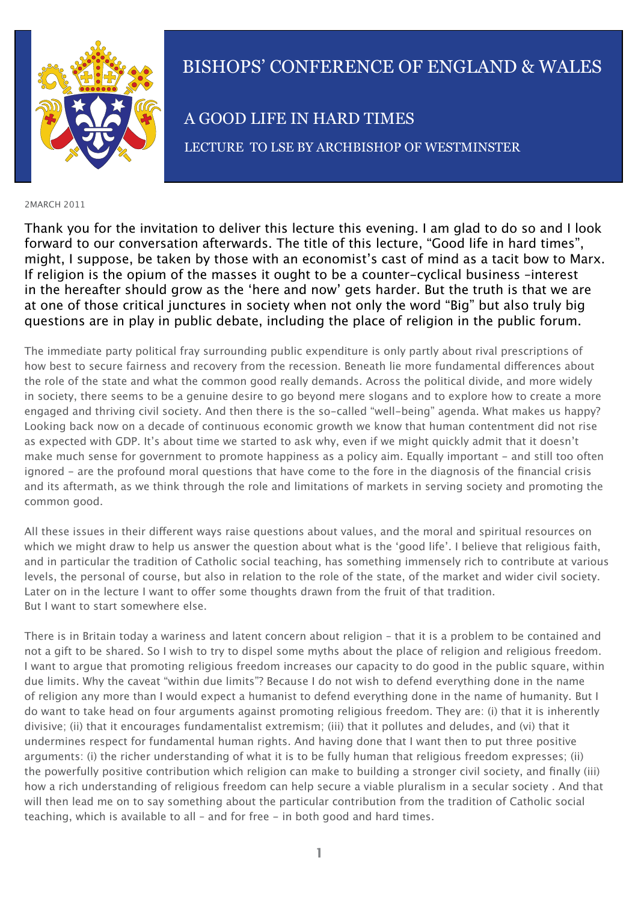

# BISHOPS' CONFERENCE OF ENGLAND & WALES

A GOOD LIFE IN HARD TIMES

LECTURE TO LSE BY ARCHBISHOP OF WESTMINSTER

#### 2MARCH 2011

Thank you for the invitation to deliver this lecture this evening. I am glad to do so and I look forward to our conversation afterwards. The title of this lecture, "Good life in hard times", might, I suppose, be taken by those with an economist's cast of mind as a tacit bow to Marx. If religion is the opium of the masses it ought to be a counter-cyclical business –interest in the hereafter should grow as the 'here and now' gets harder. But the truth is that we are at one of those critical junctures in society when not only the word "Big" but also truly big questions are in play in public debate, including the place of religion in the public forum.

The immediate party political fray surrounding public expenditure is only partly about rival prescriptions of how best to secure fairness and recovery from the recession. Beneath lie more fundamental differences about the role of the state and what the common good really demands. Across the political divide, and more widely in society, there seems to be a genuine desire to go beyond mere slogans and to explore how to create a more engaged and thriving civil society. And then there is the so-called "well-being" agenda. What makes us happy? Looking back now on a decade of continuous economic growth we know that human contentment did not rise as expected with GDP. It's about time we started to ask why, even if we might quickly admit that it doesn't make much sense for government to promote happiness as a policy aim. Equally important - and still too often ignored - are the profound moral questions that have come to the fore in the diagnosis of the financial crisis and its aftermath, as we think through the role and limitations of markets in serving society and promoting the common good.

All these issues in their different ways raise questions about values, and the moral and spiritual resources on which we might draw to help us answer the question about what is the 'good life'. I believe that religious faith, and in particular the tradition of Catholic social teaching, has something immensely rich to contribute at various levels, the personal of course, but also in relation to the role of the state, of the market and wider civil society. Later on in the lecture I want to offer some thoughts drawn from the fruit of that tradition. But I want to start somewhere else.

There is in Britain today a wariness and latent concern about religion – that it is a problem to be contained and not a gift to be shared. So I wish to try to dispel some myths about the place of religion and religious freedom. I want to argue that promoting religious freedom increases our capacity to do good in the public square, within due limits. Why the caveat "within due limits"? Because I do not wish to defend everything done in the name of religion any more than I would expect a humanist to defend everything done in the name of humanity. But I do want to take head on four arguments against promoting religious freedom. They are: (i) that it is inherently divisive; (ii) that it encourages fundamentalist extremism; (iii) that it pollutes and deludes, and (vi) that it undermines respect for fundamental human rights. And having done that I want then to put three positive arguments: (i) the richer understanding of what it is to be fully human that religious freedom expresses; (ii) the powerfully positive contribution which religion can make to building a stronger civil society, and finally (iii) how a rich understanding of religious freedom can help secure a viable pluralism in a secular society . And that will then lead me on to say something about the particular contribution from the tradition of Catholic social teaching, which is available to all – and for free - in both good and hard times.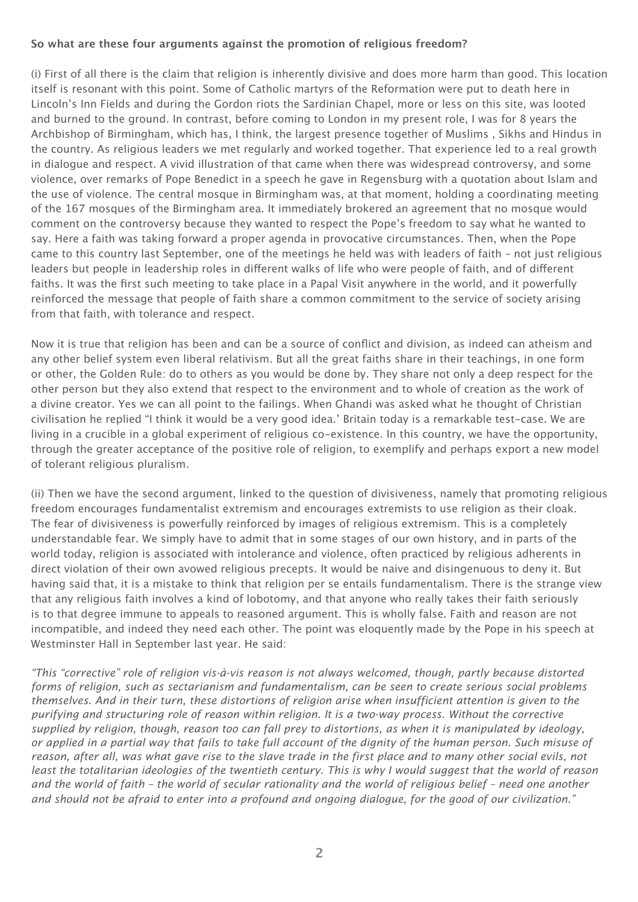# **So what are these four arguments against the promotion of religious freedom?**

(i) First of all there is the claim that religion is inherently divisive and does more harm than good. This location itself is resonant with this point. Some of Catholic martyrs of the Reformation were put to death here in Lincoln's Inn Fields and during the Gordon riots the Sardinian Chapel, more or less on this site, was looted and burned to the ground. In contrast, before coming to London in my present role, I was for 8 years the Archbishop of Birmingham, which has, I think, the largest presence together of Muslims , Sikhs and Hindus in the country. As religious leaders we met regularly and worked together. That experience led to a real growth in dialogue and respect. A vivid illustration of that came when there was widespread controversy, and some violence, over remarks of Pope Benedict in a speech he gave in Regensburg with a quotation about Islam and the use of violence. The central mosque in Birmingham was, at that moment, holding a coordinating meeting of the 167 mosques of the Birmingham area. It immediately brokered an agreement that no mosque would comment on the controversy because they wanted to respect the Pope's freedom to say what he wanted to say. Here a faith was taking forward a proper agenda in provocative circumstances. Then, when the Pope came to this country last September, one of the meetings he held was with leaders of faith – not just religious leaders but people in leadership roles in different walks of life who were people of faith, and of different faiths. It was the first such meeting to take place in a Papal Visit anywhere in the world, and it powerfully reinforced the message that people of faith share a common commitment to the service of society arising from that faith, with tolerance and respect.

Now it is true that religion has been and can be a source of conflict and division, as indeed can atheism and any other belief system even liberal relativism. But all the great faiths share in their teachings, in one form or other, the Golden Rule: do to others as you would be done by. They share not only a deep respect for the other person but they also extend that respect to the environment and to whole of creation as the work of a divine creator. Yes we can all point to the failings. When Ghandi was asked what he thought of Christian civilisation he replied "I think it would be a very good idea.' Britain today is a remarkable test-case. We are living in a crucible in a global experiment of religious co-existence. In this country, we have the opportunity, through the greater acceptance of the positive role of religion, to exemplify and perhaps export a new model of tolerant religious pluralism.

(ii) Then we have the second argument, linked to the question of divisiveness, namely that promoting religious freedom encourages fundamentalist extremism and encourages extremists to use religion as their cloak. The fear of divisiveness is powerfully reinforced by images of religious extremism. This is a completely understandable fear. We simply have to admit that in some stages of our own history, and in parts of the world today, religion is associated with intolerance and violence, often practiced by religious adherents in direct violation of their own avowed religious precepts. It would be naive and disingenuous to deny it. But having said that, it is a mistake to think that religion per se entails fundamentalism. There is the strange view that any religious faith involves a kind of lobotomy, and that anyone who really takes their faith seriously is to that degree immune to appeals to reasoned argument. This is wholly false. Faith and reason are not incompatible, and indeed they need each other. The point was eloquently made by the Pope in his speech at Westminster Hall in September last year. He said:

*"This "corrective" role of religion vis-à-vis reason is not always welcomed, though, partly because distorted forms of religion, such as sectarianism and fundamentalism, can be seen to create serious social problems themselves. And in their turn, these distortions of religion arise when insufficient attention is given to the purifying and structuring role of reason within religion. It is a two-way process. Without the corrective supplied by religion, though, reason too can fall prey to distortions, as when it is manipulated by ideology, or applied in a partial way that fails to take full account of the dignity of the human person. Such misuse of*  reason, after all, was what gave rise to the slave trade in the first place and to many other social evils, not least the totalitarian ideologies of the twentieth century. This is why I would suggest that the world of reason *and the world of faith – the world of secular rationality and the world of religious belief – need one another and should not be afraid to enter into a profound and ongoing dialogue, for the good of our civilization."*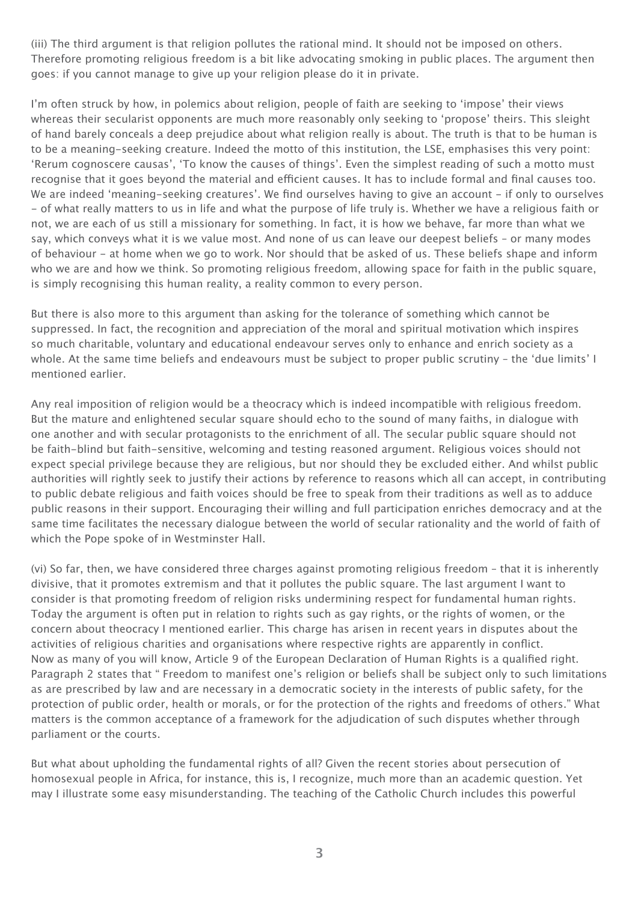(iii) The third argument is that religion pollutes the rational mind. It should not be imposed on others. Therefore promoting religious freedom is a bit like advocating smoking in public places. The argument then goes: if you cannot manage to give up your religion please do it in private.

I'm often struck by how, in polemics about religion, people of faith are seeking to 'impose' their views whereas their secularist opponents are much more reasonably only seeking to 'propose' theirs. This sleight of hand barely conceals a deep prejudice about what religion really is about. The truth is that to be human is to be a meaning-seeking creature. Indeed the motto of this institution, the LSE, emphasises this very point: 'Rerum cognoscere causas', 'To know the causes of things'. Even the simplest reading of such a motto must recognise that it goes beyond the material and efficient causes. It has to include formal and final causes too. We are indeed 'meaning-seeking creatures'. We find ourselves having to give an account - if only to ourselves - of what really matters to us in life and what the purpose of life truly is. Whether we have a religious faith or not, we are each of us still a missionary for something. In fact, it is how we behave, far more than what we say, which conveys what it is we value most. And none of us can leave our deepest beliefs – or many modes of behaviour - at home when we go to work. Nor should that be asked of us. These beliefs shape and inform who we are and how we think. So promoting religious freedom, allowing space for faith in the public square, is simply recognising this human reality, a reality common to every person.

But there is also more to this argument than asking for the tolerance of something which cannot be suppressed. In fact, the recognition and appreciation of the moral and spiritual motivation which inspires so much charitable, voluntary and educational endeavour serves only to enhance and enrich society as a whole. At the same time beliefs and endeavours must be subject to proper public scrutiny – the 'due limits' I mentioned earlier.

Any real imposition of religion would be a theocracy which is indeed incompatible with religious freedom. But the mature and enlightened secular square should echo to the sound of many faiths, in dialogue with one another and with secular protagonists to the enrichment of all. The secular public square should not be faith-blind but faith-sensitive, welcoming and testing reasoned argument. Religious voices should not expect special privilege because they are religious, but nor should they be excluded either. And whilst public authorities will rightly seek to justify their actions by reference to reasons which all can accept, in contributing to public debate religious and faith voices should be free to speak from their traditions as well as to adduce public reasons in their support. Encouraging their willing and full participation enriches democracy and at the same time facilitates the necessary dialogue between the world of secular rationality and the world of faith of which the Pope spoke of in Westminster Hall.

(vi) So far, then, we have considered three charges against promoting religious freedom – that it is inherently divisive, that it promotes extremism and that it pollutes the public square. The last argument I want to consider is that promoting freedom of religion risks undermining respect for fundamental human rights. Today the argument is often put in relation to rights such as gay rights, or the rights of women, or the concern about theocracy I mentioned earlier. This charge has arisen in recent years in disputes about the activities of religious charities and organisations where respective rights are apparently in conflict. Now as many of you will know, Article 9 of the European Declaration of Human Rights is a qualified right. Paragraph 2 states that " Freedom to manifest one's religion or beliefs shall be subject only to such limitations as are prescribed by law and are necessary in a democratic society in the interests of public safety, for the protection of public order, health or morals, or for the protection of the rights and freedoms of others." What matters is the common acceptance of a framework for the adjudication of such disputes whether through parliament or the courts.

But what about upholding the fundamental rights of all? Given the recent stories about persecution of homosexual people in Africa, for instance, this is, I recognize, much more than an academic question. Yet may I illustrate some easy misunderstanding. The teaching of the Catholic Church includes this powerful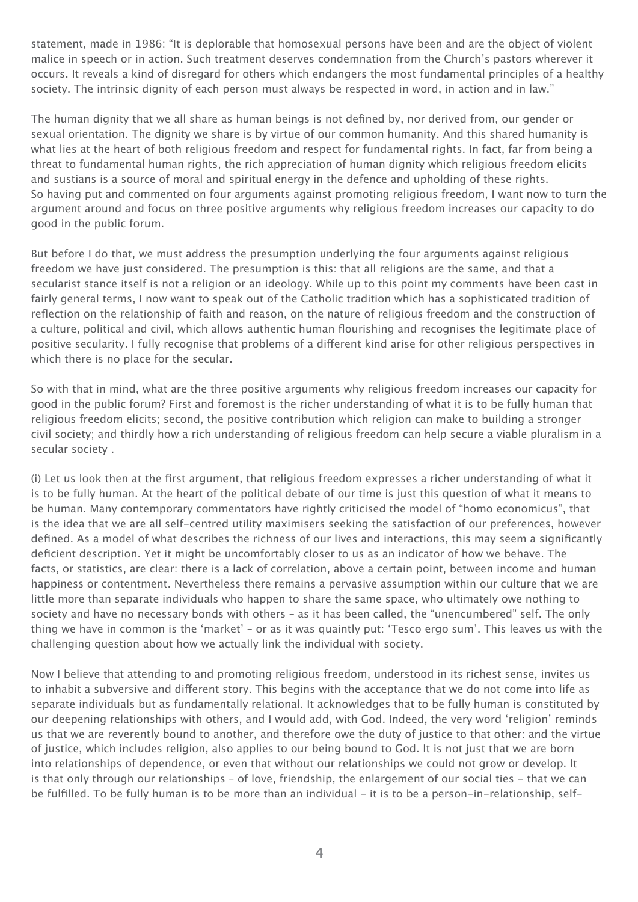statement, made in 1986: "It is deplorable that homosexual persons have been and are the object of violent malice in speech or in action. Such treatment deserves condemnation from the Church's pastors wherever it occurs. It reveals a kind of disregard for others which endangers the most fundamental principles of a healthy society. The intrinsic dignity of each person must always be respected in word, in action and in law."

The human dignity that we all share as human beings is not defined by, nor derived from, our gender or sexual orientation. The dignity we share is by virtue of our common humanity. And this shared humanity is what lies at the heart of both religious freedom and respect for fundamental rights. In fact, far from being a threat to fundamental human rights, the rich appreciation of human dignity which religious freedom elicits and sustians is a source of moral and spiritual energy in the defence and upholding of these rights. So having put and commented on four arguments against promoting religious freedom, I want now to turn the argument around and focus on three positive arguments why religious freedom increases our capacity to do good in the public forum.

But before I do that, we must address the presumption underlying the four arguments against religious freedom we have just considered. The presumption is this: that all religions are the same, and that a secularist stance itself is not a religion or an ideology. While up to this point my comments have been cast in fairly general terms, I now want to speak out of the Catholic tradition which has a sophisticated tradition of reflection on the relationship of faith and reason, on the nature of religious freedom and the construction of a culture, political and civil, which allows authentic human flourishing and recognises the legitimate place of positive secularity. I fully recognise that problems of a different kind arise for other religious perspectives in which there is no place for the secular.

So with that in mind, what are the three positive arguments why religious freedom increases our capacity for good in the public forum? First and foremost is the richer understanding of what it is to be fully human that religious freedom elicits; second, the positive contribution which religion can make to building a stronger civil society; and thirdly how a rich understanding of religious freedom can help secure a viable pluralism in a secular society .

(i) Let us look then at the first argument, that religious freedom expresses a richer understanding of what it is to be fully human. At the heart of the political debate of our time is just this question of what it means to be human. Many contemporary commentators have rightly criticised the model of "homo economicus", that is the idea that we are all self-centred utility maximisers seeking the satisfaction of our preferences, however defined. As a model of what describes the richness of our lives and interactions, this may seem a significantly deficient description. Yet it might be uncomfortably closer to us as an indicator of how we behave. The facts, or statistics, are clear: there is a lack of correlation, above a certain point, between income and human happiness or contentment. Nevertheless there remains a pervasive assumption within our culture that we are little more than separate individuals who happen to share the same space, who ultimately owe nothing to society and have no necessary bonds with others – as it has been called, the "unencumbered" self. The only thing we have in common is the 'market' – or as it was quaintly put: 'Tesco ergo sum'. This leaves us with the challenging question about how we actually link the individual with society.

Now I believe that attending to and promoting religious freedom, understood in its richest sense, invites us to inhabit a subversive and different story. This begins with the acceptance that we do not come into life as separate individuals but as fundamentally relational. It acknowledges that to be fully human is constituted by our deepening relationships with others, and I would add, with God. Indeed, the very word 'religion' reminds us that we are reverently bound to another, and therefore owe the duty of justice to that other: and the virtue of justice, which includes religion, also applies to our being bound to God. It is not just that we are born into relationships of dependence, or even that without our relationships we could not grow or develop. It is that only through our relationships – of love, friendship, the enlargement of our social ties - that we can be fulfilled. To be fully human is to be more than an individual - it is to be a person-in-relationship, self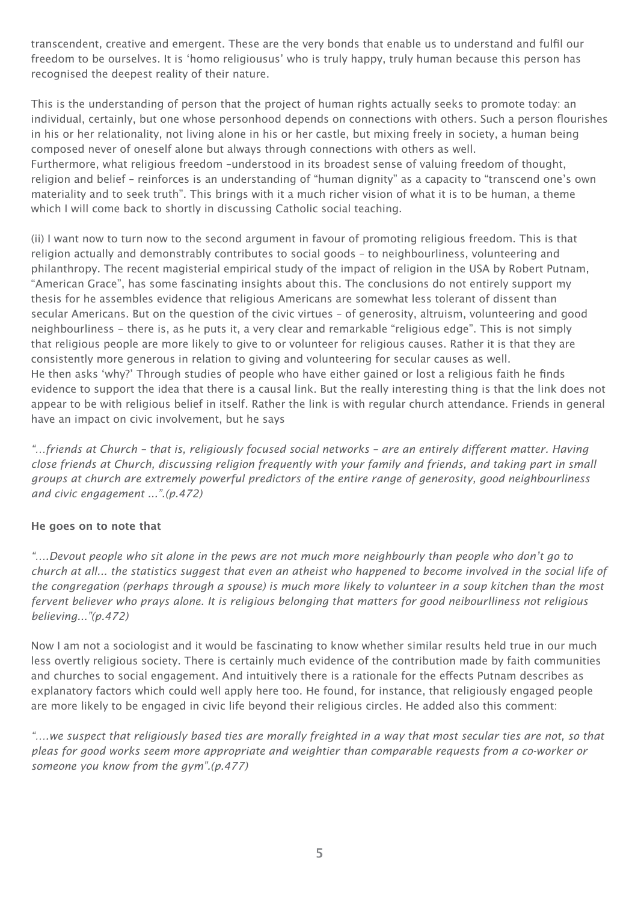transcendent, creative and emergent. These are the very bonds that enable us to understand and fulfil our freedom to be ourselves. It is 'homo religiousus' who is truly happy, truly human because this person has recognised the deepest reality of their nature.

This is the understanding of person that the project of human rights actually seeks to promote today: an individual, certainly, but one whose personhood depends on connections with others. Such a person flourishes in his or her relationality, not living alone in his or her castle, but mixing freely in society, a human being composed never of oneself alone but always through connections with others as well. Furthermore, what religious freedom –understood in its broadest sense of valuing freedom of thought, religion and belief – reinforces is an understanding of "human dignity" as a capacity to "transcend one's own materiality and to seek truth". This brings with it a much richer vision of what it is to be human, a theme which I will come back to shortly in discussing Catholic social teaching.

(ii) I want now to turn now to the second argument in favour of promoting religious freedom. This is that religion actually and demonstrably contributes to social goods – to neighbourliness, volunteering and philanthropy. The recent magisterial empirical study of the impact of religion in the USA by Robert Putnam, "American Grace", has some fascinating insights about this. The conclusions do not entirely support my thesis for he assembles evidence that religious Americans are somewhat less tolerant of dissent than secular Americans. But on the question of the civic virtues – of generosity, altruism, volunteering and good neighbourliness - there is, as he puts it, a very clear and remarkable "religious edge". This is not simply that religious people are more likely to give to or volunteer for religious causes. Rather it is that they are consistently more generous in relation to giving and volunteering for secular causes as well. He then asks 'why?' Through studies of people who have either gained or lost a religious faith he finds evidence to support the idea that there is a causal link. But the really interesting thing is that the link does not appear to be with religious belief in itself. Rather the link is with regular church attendance. Friends in general have an impact on civic involvement, but he says

*"…friends at Church – that is, religiously focused social networks – are an entirely different matter. Having close friends at Church, discussing religion frequently with your family and friends, and taking part in small groups at church are extremely powerful predictors of the entire range of generosity, good neighbourliness and civic engagement ...".(p.472)*

# **He goes on to note that**

*"….Devout people who sit alone in the pews are not much more neighbourly than people who don't go to church at all... the statistics suggest that even an atheist who happened to become involved in the social life of the congregation (perhaps through a spouse) is much more likely to volunteer in a soup kitchen than the most fervent believer who prays alone. It is religious belonging that matters for good neibourlliness not religious believing..."(p.472)*

Now I am not a sociologist and it would be fascinating to know whether similar results held true in our much less overtly religious society. There is certainly much evidence of the contribution made by faith communities and churches to social engagement. And intuitively there is a rationale for the effects Putnam describes as explanatory factors which could well apply here too. He found, for instance, that religiously engaged people are more likely to be engaged in civic life beyond their religious circles. He added also this comment:

*"….we suspect that religiously based ties are morally freighted in a way that most secular ties are not, so that pleas for good works seem more appropriate and weightier than comparable requests from a co-worker or someone you know from the gym".(p.477)*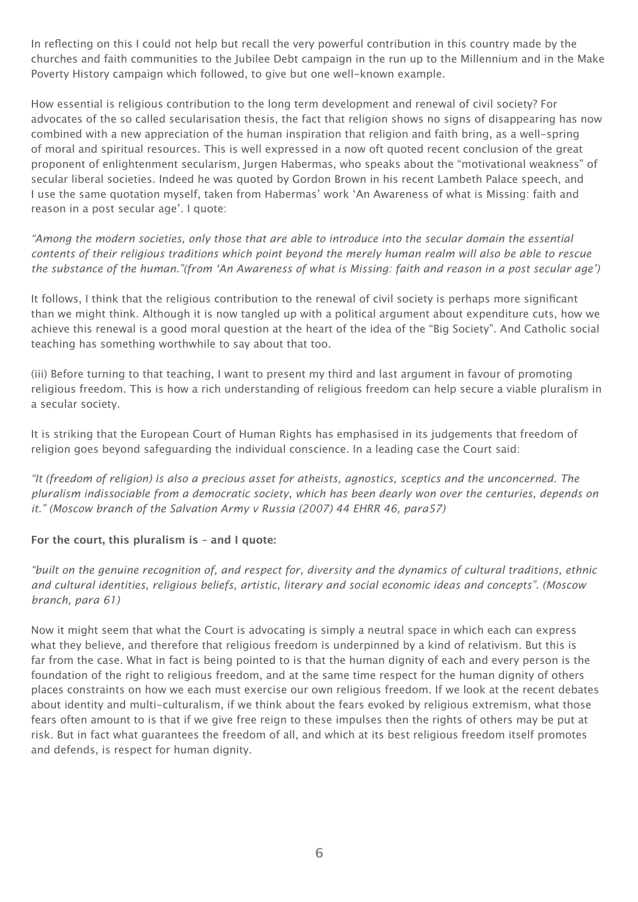In reflecting on this I could not help but recall the very powerful contribution in this country made by the churches and faith communities to the Jubilee Debt campaign in the run up to the Millennium and in the Make Poverty History campaign which followed, to give but one well-known example.

How essential is religious contribution to the long term development and renewal of civil society? For advocates of the so called secularisation thesis, the fact that religion shows no signs of disappearing has now combined with a new appreciation of the human inspiration that religion and faith bring, as a well-spring of moral and spiritual resources. This is well expressed in a now oft quoted recent conclusion of the great proponent of enlightenment secularism, Jurgen Habermas, who speaks about the "motivational weakness" of secular liberal societies. Indeed he was quoted by Gordon Brown in his recent Lambeth Palace speech, and I use the same quotation myself, taken from Habermas' work 'An Awareness of what is Missing: faith and reason in a post secular age'. I quote:

*"Among the modern societies, only those that are able to introduce into the secular domain the essential contents of their religious traditions which point beyond the merely human realm will also be able to rescue the substance of the human."(from 'An Awareness of what is Missing: faith and reason in a post secular age')*

It follows, I think that the religious contribution to the renewal of civil society is perhaps more significant than we might think. Although it is now tangled up with a political argument about expenditure cuts, how we achieve this renewal is a good moral question at the heart of the idea of the "Big Society". And Catholic social teaching has something worthwhile to say about that too.

(iii) Before turning to that teaching, I want to present my third and last argument in favour of promoting religious freedom. This is how a rich understanding of religious freedom can help secure a viable pluralism in a secular society.

It is striking that the European Court of Human Rights has emphasised in its judgements that freedom of religion goes beyond safeguarding the individual conscience. In a leading case the Court said:

*"It (freedom of religion) is also a precious asset for atheists, agnostics, sceptics and the unconcerned. The pluralism indissociable from a democratic society, which has been dearly won over the centuries, depends on it." (Moscow branch of the Salvation Army v Russia (2007) 44 EHRR 46, para57)*

# **For the court, this pluralism is – and I quote:**

*"built on the genuine recognition of, and respect for, diversity and the dynamics of cultural traditions, ethnic and cultural identities, religious beliefs, artistic, literary and social economic ideas and concepts". (Moscow branch, para 61)*

Now it might seem that what the Court is advocating is simply a neutral space in which each can express what they believe, and therefore that religious freedom is underpinned by a kind of relativism. But this is far from the case. What in fact is being pointed to is that the human dignity of each and every person is the foundation of the right to religious freedom, and at the same time respect for the human dignity of others places constraints on how we each must exercise our own religious freedom. If we look at the recent debates about identity and multi-culturalism, if we think about the fears evoked by religious extremism, what those fears often amount to is that if we give free reign to these impulses then the rights of others may be put at risk. But in fact what guarantees the freedom of all, and which at its best religious freedom itself promotes and defends, is respect for human dignity.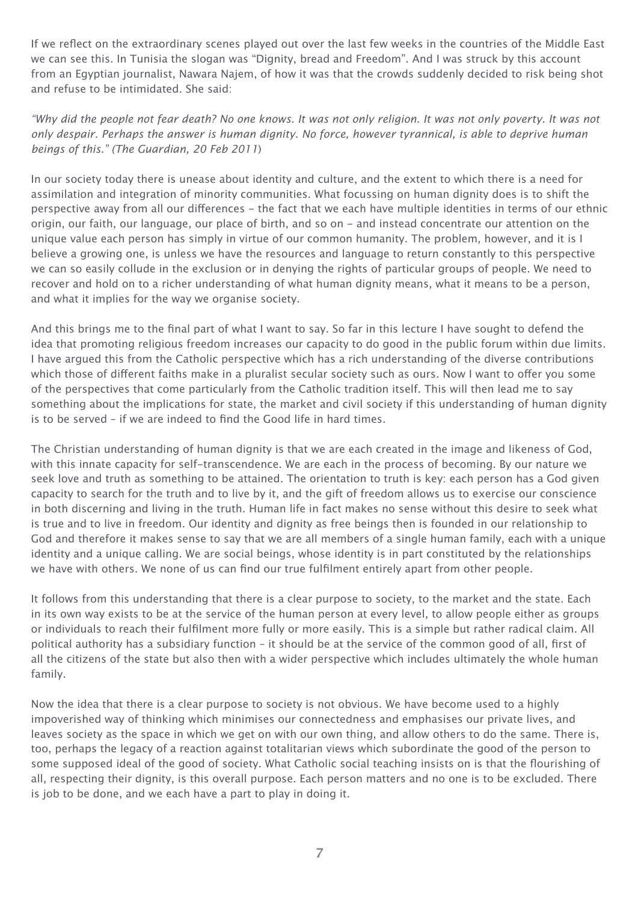If we reflect on the extraordinary scenes played out over the last few weeks in the countries of the Middle East we can see this. In Tunisia the slogan was "Dignity, bread and Freedom". And I was struck by this account from an Egyptian journalist, Nawara Najem, of how it was that the crowds suddenly decided to risk being shot and refuse to be intimidated. She said:

*"Why did the people not fear death? No one knows. It was not only religion. It was not only poverty. It was not only despair. Perhaps the answer is human dignity. No force, however tyrannical, is able to deprive human beings of this." (The Guardian, 20 Feb 2011*)

In our society today there is unease about identity and culture, and the extent to which there is a need for assimilation and integration of minority communities. What focussing on human dignity does is to shift the perspective away from all our differences - the fact that we each have multiple identities in terms of our ethnic origin, our faith, our language, our place of birth, and so on - and instead concentrate our attention on the unique value each person has simply in virtue of our common humanity. The problem, however, and it is I believe a growing one, is unless we have the resources and language to return constantly to this perspective we can so easily collude in the exclusion or in denying the rights of particular groups of people. We need to recover and hold on to a richer understanding of what human dignity means, what it means to be a person, and what it implies for the way we organise society.

And this brings me to the final part of what I want to say. So far in this lecture I have sought to defend the idea that promoting religious freedom increases our capacity to do good in the public forum within due limits. I have argued this from the Catholic perspective which has a rich understanding of the diverse contributions which those of different faiths make in a pluralist secular society such as ours. Now I want to offer you some of the perspectives that come particularly from the Catholic tradition itself. This will then lead me to say something about the implications for state, the market and civil society if this understanding of human dignity is to be served – if we are indeed to find the Good life in hard times.

The Christian understanding of human dignity is that we are each created in the image and likeness of God, with this innate capacity for self-transcendence. We are each in the process of becoming. By our nature we seek love and truth as something to be attained. The orientation to truth is key: each person has a God given capacity to search for the truth and to live by it, and the gift of freedom allows us to exercise our conscience in both discerning and living in the truth. Human life in fact makes no sense without this desire to seek what is true and to live in freedom. Our identity and dignity as free beings then is founded in our relationship to God and therefore it makes sense to say that we are all members of a single human family, each with a unique identity and a unique calling. We are social beings, whose identity is in part constituted by the relationships we have with others. We none of us can find our true fulfilment entirely apart from other people.

It follows from this understanding that there is a clear purpose to society, to the market and the state. Each in its own way exists to be at the service of the human person at every level, to allow people either as groups or individuals to reach their fulfilment more fully or more easily. This is a simple but rather radical claim. All political authority has a subsidiary function – it should be at the service of the common good of all, first of all the citizens of the state but also then with a wider perspective which includes ultimately the whole human family.

Now the idea that there is a clear purpose to society is not obvious. We have become used to a highly impoverished way of thinking which minimises our connectedness and emphasises our private lives, and leaves society as the space in which we get on with our own thing, and allow others to do the same. There is, too, perhaps the legacy of a reaction against totalitarian views which subordinate the good of the person to some supposed ideal of the good of society. What Catholic social teaching insists on is that the flourishing of all, respecting their dignity, is this overall purpose. Each person matters and no one is to be excluded. There is job to be done, and we each have a part to play in doing it.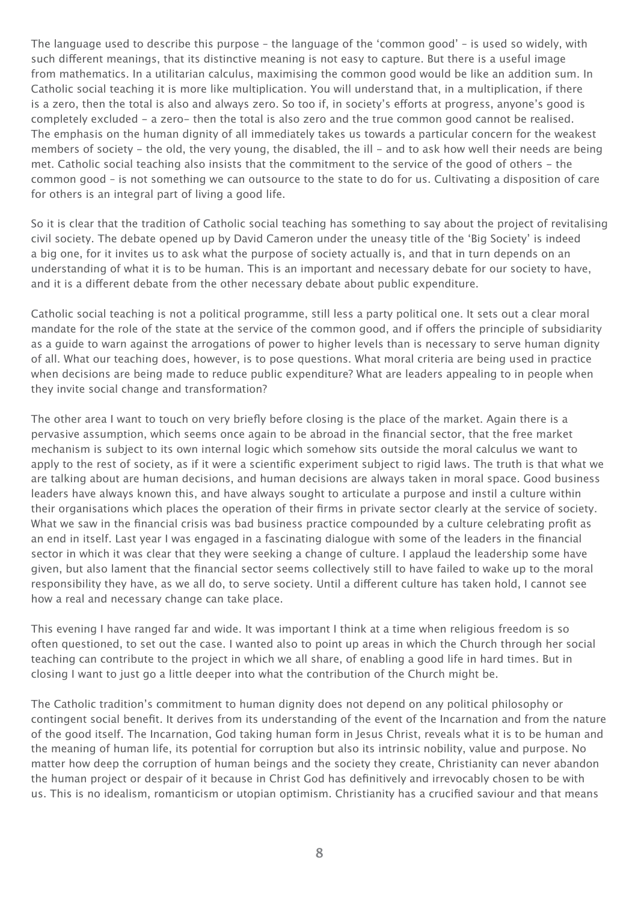The language used to describe this purpose – the language of the 'common good' – is used so widely, with such different meanings, that its distinctive meaning is not easy to capture. But there is a useful image from mathematics. In a utilitarian calculus, maximising the common good would be like an addition sum. In Catholic social teaching it is more like multiplication. You will understand that, in a multiplication, if there is a zero, then the total is also and always zero. So too if, in society's efforts at progress, anyone's good is completely excluded - a zero- then the total is also zero and the true common good cannot be realised. The emphasis on the human dignity of all immediately takes us towards a particular concern for the weakest members of society - the old, the very young, the disabled, the ill - and to ask how well their needs are being met. Catholic social teaching also insists that the commitment to the service of the good of others - the common good – is not something we can outsource to the state to do for us. Cultivating a disposition of care for others is an integral part of living a good life.

So it is clear that the tradition of Catholic social teaching has something to say about the project of revitalising civil society. The debate opened up by David Cameron under the uneasy title of the 'Big Society' is indeed a big one, for it invites us to ask what the purpose of society actually is, and that in turn depends on an understanding of what it is to be human. This is an important and necessary debate for our society to have, and it is a different debate from the other necessary debate about public expenditure.

Catholic social teaching is not a political programme, still less a party political one. It sets out a clear moral mandate for the role of the state at the service of the common good, and if offers the principle of subsidiarity as a guide to warn against the arrogations of power to higher levels than is necessary to serve human dignity of all. What our teaching does, however, is to pose questions. What moral criteria are being used in practice when decisions are being made to reduce public expenditure? What are leaders appealing to in people when they invite social change and transformation?

The other area I want to touch on very briefly before closing is the place of the market. Again there is a pervasive assumption, which seems once again to be abroad in the financial sector, that the free market mechanism is subject to its own internal logic which somehow sits outside the moral calculus we want to apply to the rest of society, as if it were a scientific experiment subject to rigid laws. The truth is that what we are talking about are human decisions, and human decisions are always taken in moral space. Good business leaders have always known this, and have always sought to articulate a purpose and instil a culture within their organisations which places the operation of their firms in private sector clearly at the service of society. What we saw in the financial crisis was bad business practice compounded by a culture celebrating profit as an end in itself. Last year I was engaged in a fascinating dialogue with some of the leaders in the financial sector in which it was clear that they were seeking a change of culture. I applaud the leadership some have given, but also lament that the financial sector seems collectively still to have failed to wake up to the moral responsibility they have, as we all do, to serve society. Until a different culture has taken hold, I cannot see how a real and necessary change can take place.

This evening I have ranged far and wide. It was important I think at a time when religious freedom is so often questioned, to set out the case. I wanted also to point up areas in which the Church through her social teaching can contribute to the project in which we all share, of enabling a good life in hard times. But in closing I want to just go a little deeper into what the contribution of the Church might be.

The Catholic tradition's commitment to human dignity does not depend on any political philosophy or contingent social benefit. It derives from its understanding of the event of the Incarnation and from the nature of the good itself. The Incarnation, God taking human form in Jesus Christ, reveals what it is to be human and the meaning of human life, its potential for corruption but also its intrinsic nobility, value and purpose. No matter how deep the corruption of human beings and the society they create, Christianity can never abandon the human project or despair of it because in Christ God has definitively and irrevocably chosen to be with us. This is no idealism, romanticism or utopian optimism. Christianity has a crucified saviour and that means